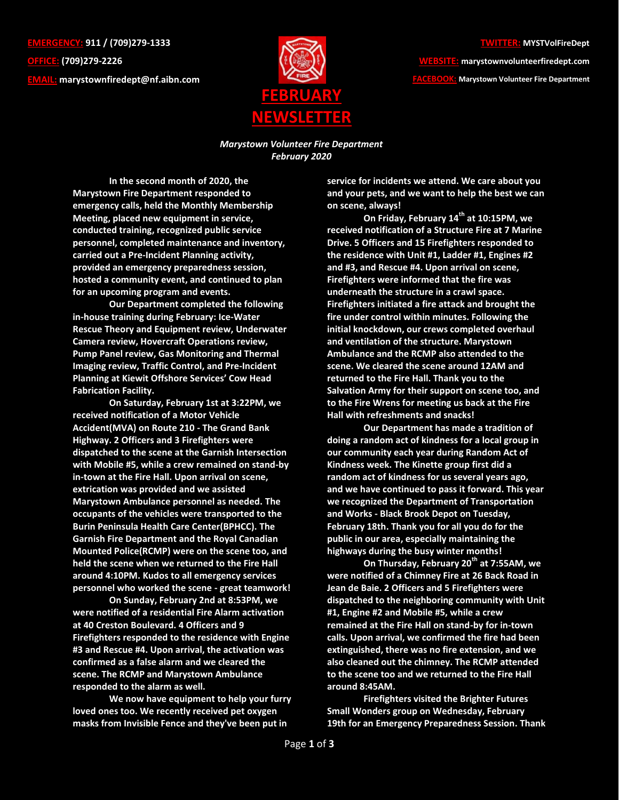**EMERGENCY: 911 / (709)279-1333 OFFICE: (709)279-2226 EMAIL: [marystownfiredept@nf.aibn.com](mailto:marystownfiredept@nf.aibn.com)**



## **TWITTER: MYSTVolFireDept**

**WEBSITE: marystownvolunteerfiredept.com FACEBOOK: Marystown Volunteer Fire Department**

*Marystown Volunteer Fire Department February 2020*

**In the second month of 2020, the Marystown Fire Department responded to emergency calls, held the Monthly Membership Meeting, placed new equipment in service, conducted training, recognized public service personnel, completed maintenance and inventory, carried out a Pre-Incident Planning activity, provided an emergency preparedness session, hosted a community event, and continued to plan for an upcoming program and events.**

**Our Department completed the following in-house training during February: Ice-Water Rescue Theory and Equipment review, Underwater Camera review, Hovercraft Operations review, Pump Panel review, Gas Monitoring and Thermal Imaging review, Traffic Control, and Pre-Incident Planning at Kiewit Offshore Services' Cow Head Fabrication Facility.**

**On Saturday, February 1st at 3:22PM, we received notification of a Motor Vehicle Accident(MVA) on Route 210 - The Grand Bank Highway. 2 Officers and 3 Firefighters were dispatched to the scene at the Garnish Intersection with Mobile #5, while a crew remained on stand-by in-town at the Fire Hall. Upon arrival on scene, extrication was provided and we assisted Marystown Ambulance personnel as needed. The occupants of the vehicles were transported to the Burin Peninsula Health Care Center(BPHCC). The Garnish Fire Department and the Royal Canadian Mounted Police(RCMP) were on the scene too, and held the scene when we returned to the Fire Hall around 4:10PM. Kudos to all emergency services personnel who worked the scene - great teamwork!**

**On Sunday, February 2nd at 8:53PM, we were notified of a residential Fire Alarm activation at 40 Creston Boulevard. 4 Officers and 9 Firefighters responded to the residence with Engine #3 and Rescue #4. Upon arrival, the activation was confirmed as a false alarm and we cleared the scene. The RCMP and Marystown Ambulance responded to the alarm as well.** 

**We now have equipment to help your furry loved ones too. We recently received pet oxygen masks from Invisible Fence and they've been put in** 

**service for incidents we attend. We care about you and your pets, and we want to help the best we can on scene, always!**

**On Friday, February 14th at 10:15PM, we received notification of a Structure Fire at 7 Marine Drive. 5 Officers and 15 Firefighters responded to the residence with Unit #1, Ladder #1, Engines #2 and #3, and Rescue #4. Upon arrival on scene, Firefighters were informed that the fire was underneath the structure in a crawl space. Firefighters initiated a fire attack and brought the fire under control within minutes. Following the initial knockdown, our crews completed overhaul and ventilation of the structure. Marystown Ambulance and the RCMP also attended to the scene. We cleared the scene around 12AM and returned to the Fire Hall. Thank you to the Salvation Army for their support on scene too, and to the Fire Wrens for meeting us back at the Fire Hall with refreshments and snacks!** 

**Our Department has made a tradition of doing a random act of kindness for a local group in our community each year during Random Act of Kindness week. The Kinette group first did a random act of kindness for us several years ago, and we have continued to pass it forward. This year we recognized the Department of Transportation and Works - Black Brook Depot on Tuesday, February 18th. Thank you for all you do for the public in our area, especially maintaining the highways during the busy winter months!**

**On Thursday, February 20th at 7:55AM, we were notified of a Chimney Fire at 26 Back Road in Jean de Baie. 2 Officers and 5 Firefighters were dispatched to the neighboring community with Unit #1, Engine #2 and Mobile #5, while a crew remained at the Fire Hall on stand-by for in-town calls. Upon arrival, we confirmed the fire had been extinguished, there was no fire extension, and we also cleaned out the chimney. The RCMP attended to the scene too and we returned to the Fire Hall around 8:45AM.**

**Firefighters visited the Brighter Futures Small Wonders group on Wednesday, February 19th for an Emergency Preparedness Session. Thank**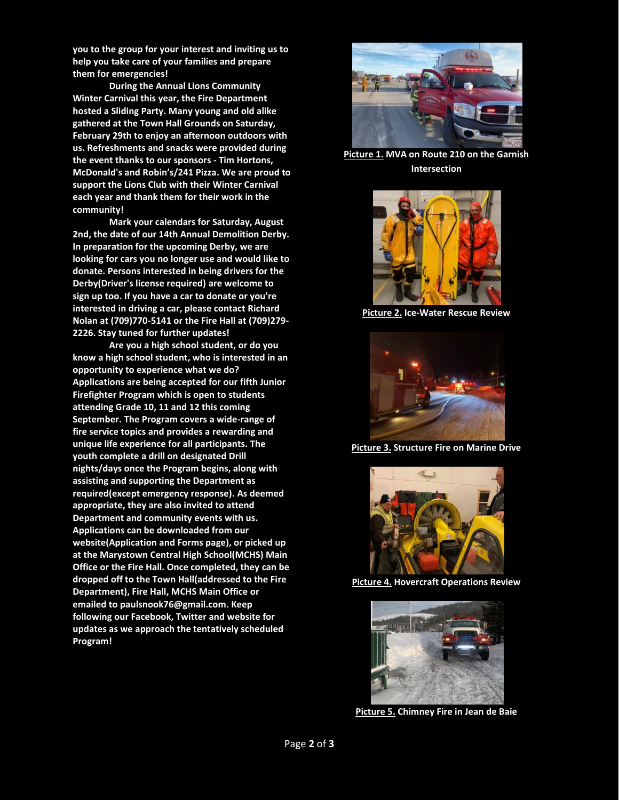**you to the group for your interest and inviting us to help you take care of your families and prepare them for emergencies!**

**During the Annual Lions Community Winter Carnival this year, the Fire Department hosted a Sliding Party. Many young and old alike gathered at the Town Hall Grounds on Saturday, February 29th to enjoy an afternoon outdoors with us. Refreshments and snacks were provided during the event thanks to our sponsors - Tim Hortons, McDonald's and Robin's/241 Pizza. We are proud to support the Lions Club with their Winter Carnival each year and thank them for their work in the community!**

**Mark your calendars for Saturday, August 2nd, the date of our 14th Annual Demolition Derby. In preparation for the upcoming Derby, we are looking for cars you no longer use and would like to donate. Persons interested in being drivers for the Derby(Driver's license required) are welcome to sign up too. If you have a car to donate or you're interested in driving a car, please contact Richard Nolan at (709)770-5141 or the Fire Hall at (709)279- 2226. Stay tuned for further updates!**

**Are you a high school student, or do you know a high school student, who is interested in an opportunity to experience what we do? Applications are being accepted for our fifth Junior Firefighter Program which is open to students attending Grade 10, 11 and 12 this coming September. The Program covers a wide-range of fire service topics and provides a rewarding and unique life experience for all participants. The youth complete a drill on designated Drill nights/days once the Program begins, along with assisting and supporting the Department as required(except emergency response). As deemed appropriate, they are also invited to attend Department and community events with us. Applications can be downloaded from our website(Application and Forms page), or picked up at the Marystown Central High School(MCHS) Main Office or the Fire Hall. Once completed, they can be dropped off to the Town Hall(addressed to the Fire Department), Fire Hall, MCHS Main Office or emailed to paulsnook76@gmail.com. Keep following our Facebook, Twitter and website for updates as we approach the tentatively scheduled Program!** 



**Picture 1. MVA on Route 210 on the Garnish Intersection**



**Picture 2. Ice-Water Rescue Review**



**Picture 3. Structure Fire on Marine Drive**



**Picture 4. Hovercraft Operations Review**



**Picture 5. Chimney Fire in Jean de Baie**